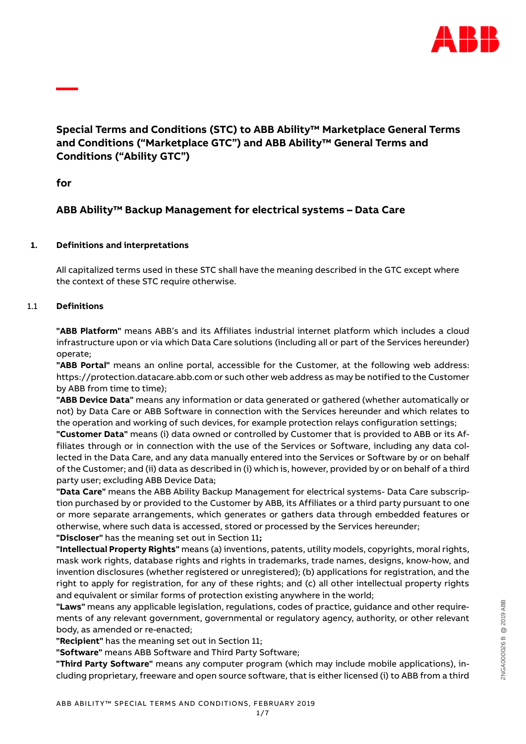

# **Special Terms and Conditions (STC) to ABB Ability™ Marketplace General Terms and Conditions ("Marketplace GTC") and ABB Ability™ General Terms and Conditions ("Ability GTC")**

**for**

**—**

# **ABB Ability™ Backup Management for electrical systems – Data Care**

# **1. Definitions and interpretations**

All capitalized terms used in these STC shall have the meaning described in the GTC except where the context of these STC require otherwise.

# 1.1 **Definitions**

**"ABB Platform"** means ABB's and its Affiliates industrial internet platform which includes a cloud infrastructure upon or via which Data Care solutions (including all or part of the Services hereunder) operate;

**"ABB Portal"** means an online portal, accessible for the Customer, at the following web address: https://protection.datacare.abb.com or such other web address as may be notified to the Customer by ABB from time to time);

**"ABB Device Data"** means any information or data generated or gathered (whether automatically or not) by Data Care or ABB Software in connection with the Services hereunder and which relates to the operation and working of such devices, for example protection relays configuration settings;

**"Customer Data"** means (i) data owned or controlled by Customer that is provided to ABB or its Affiliates through or in connection with the use of the Services or Software, including any data collected in the Data Care, and any data manually entered into the Services or Software by or on behalf of the Customer; and (ii) data as described in (i) which is, however, provided by or on behalf of a third party user; excluding ABB Device Data;

**"Data Care"** means the ABB Ability Backup Management for electrical systems- Data Care subscription purchased by or provided to the Customer by ABB, its Affiliates or a third party pursuant to one or more separate arrangements, which generates or gathers data through embedded features or otherwise, where such data is accessed, stored or processed by the Services hereunder; **"Discloser"** has the meaning set out in Section 11**;**

**"Intellectual Property Rights"** means (a) inventions, patents, utility models, copyrights, moral rights, mask work rights, database rights and rights in trademarks, trade names, designs, know-how, and invention disclosures (whether registered or unregistered); (b) applications for registration, and the right to apply for registration, for any of these rights; and (c) all other intellectual property rights and equivalent or similar forms of protection existing anywhere in the world;

**"Laws"** means any applicable legislation, regulations, codes of practice, guidance and other requirements of any relevant government, governmental or regulatory agency, authority, or other relevant body, as amended or re-enacted;

**"Recipient"** has the meaning set out in Section 11;

**"Software"** means ABB Software and Third Party Software;

**"Third Party Software"** means any computer program (which may include mobile applications), including proprietary, freeware and open source software, that is either licensed (i) to ABB from a third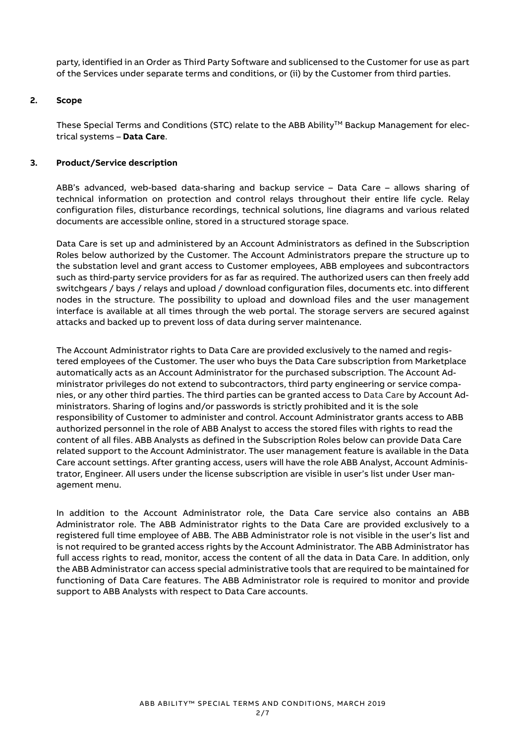party, identified in an Order as Third Party Software and sublicensed to the Customer for use as part of the Services under separate terms and conditions, or (ii) by the Customer from third parties.

#### **2. Scope**

These Special Terms and Conditions (STC) relate to the ABB Ability™ Backup Management for electrical systems – **Data Care**.

## **3. Product/Service description**

ABB's advanced, web-based data-sharing and backup service – Data Care – allows sharing of technical information on protection and control relays throughout their entire life cycle. Relay configuration files, disturbance recordings, technical solutions, line diagrams and various related documents are accessible online, stored in a structured storage space.

Data Care is set up and administered by an Account Administrators as defined in the Subscription Roles below authorized by the Customer. The Account Administrators prepare the structure up to the substation level and grant access to Customer employees, ABB employees and subcontractors such as third-party service providers for as far as required. The authorized users can then freely add switchgears / bays / relays and upload / download configuration files, documents etc. into different nodes in the structure. The possibility to upload and download files and the user management interface is available at all times through the web portal. The storage servers are secured against attacks and backed up to prevent loss of data during server maintenance.

The Account Administrator rights to Data Care are provided exclusively to the named and registered employees of the Customer. The user who buys the Data Care subscription from Marketplace automatically acts as an Account Administrator for the purchased subscription. The Account Administrator privileges do not extend to subcontractors, third party engineering or service companies, or any other third parties. The third parties can be granted access to Data Care by Account Administrators. Sharing of logins and/or passwords is strictly prohibited and it is the sole responsibility of Customer to administer and control. Account Administrator grants access to ABB authorized personnel in the role of ABB Analyst to access the stored files with rights to read the content of all files. ABB Analysts as defined in the Subscription Roles below can provide Data Care related support to the Account Administrator. The user management feature is available in the Data Care account settings. After granting access, users will have the role ABB Analyst, Account Administrator, Engineer. All users under the license subscription are visible in user's list under User management menu.

In addition to the Account Administrator role, the Data Care service also contains an ABB Administrator role. The ABB Administrator rights to the Data Care are provided exclusively to a registered full time employee of ABB. The ABB Administrator role is not visible in the user's list and is not required to be granted access rights by the Account Administrator. The ABB Administrator has full access rights to read, monitor, access the content of all the data in Data Care. In addition, only the ABB Administrator can access special administrative tools that are required to be maintained for functioning of Data Care features. The ABB Administrator role is required to monitor and provide support to ABB Analysts with respect to Data Care accounts.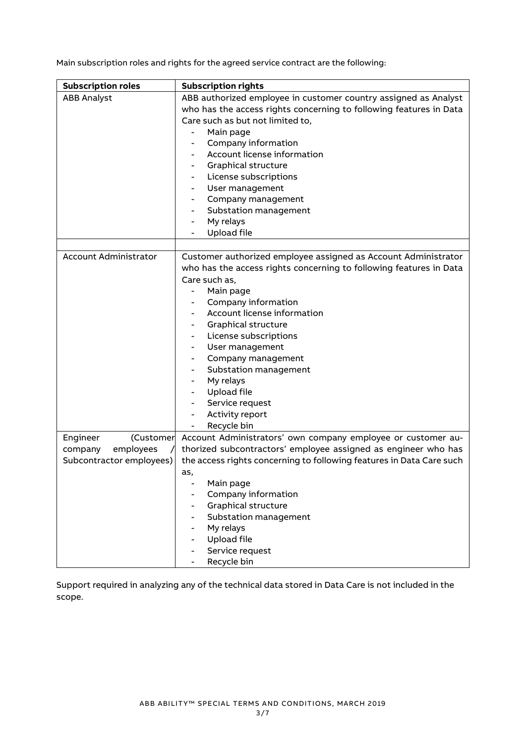Main subscription roles and rights for the agreed service contract are the following:

| <b>Subscription roles</b>    | <b>Subscription rights</b>                                           |
|------------------------------|----------------------------------------------------------------------|
| <b>ABB Analyst</b>           | ABB authorized employee in customer country assigned as Analyst      |
|                              | who has the access rights concerning to following features in Data   |
|                              | Care such as but not limited to,                                     |
|                              | Main page                                                            |
|                              | Company information                                                  |
|                              | Account license information                                          |
|                              | <b>Graphical structure</b>                                           |
|                              | License subscriptions                                                |
|                              | User management                                                      |
|                              | Company management                                                   |
|                              | Substation management                                                |
|                              | My relays                                                            |
|                              | <b>Upload file</b>                                                   |
|                              |                                                                      |
| <b>Account Administrator</b> | Customer authorized employee assigned as Account Administrator       |
|                              | who has the access rights concerning to following features in Data   |
|                              | Care such as,                                                        |
|                              | Main page                                                            |
|                              | Company information                                                  |
|                              | Account license information                                          |
|                              | <b>Graphical structure</b>                                           |
|                              | License subscriptions                                                |
|                              | User management                                                      |
|                              | Company management                                                   |
|                              | Substation management                                                |
|                              | My relays                                                            |
|                              | <b>Upload file</b>                                                   |
|                              | Service request                                                      |
|                              | Activity report                                                      |
|                              | Recycle bin                                                          |
| Engineer<br>(Customer        | Account Administrators' own company employee or customer au-         |
| employees<br>company         | thorized subcontractors' employee assigned as engineer who has       |
| Subcontractor employees)     | the access rights concerning to following features in Data Care such |
|                              | as.                                                                  |
|                              | Main page                                                            |
|                              | Company information                                                  |
|                              | <b>Graphical structure</b>                                           |
|                              | Substation management                                                |
|                              | My relays                                                            |
|                              | <b>Upload file</b>                                                   |
|                              | Service request                                                      |
|                              | Recycle bin                                                          |

Support required in analyzing any of the technical data stored in Data Care is not included in the scope.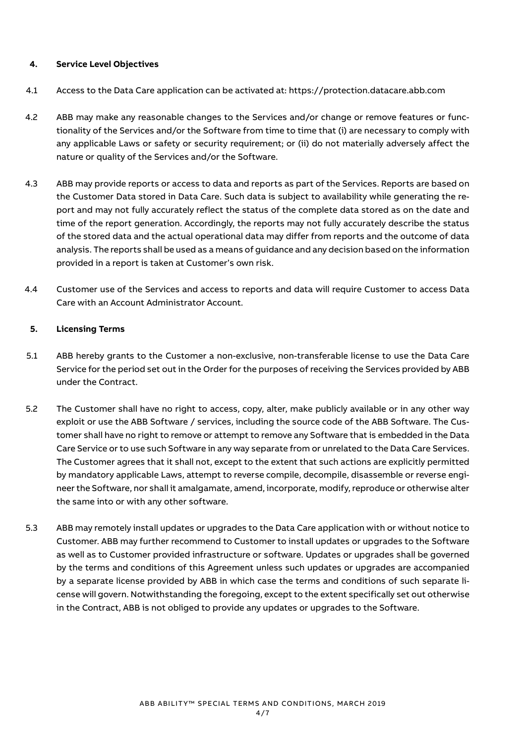## **4. Service Level Objectives**

- 4.1 Access to the Data Care application can be activated at: [https://protection.datacare.abb.com](https://protection.datacare.abb.com/)
- 4.2 ABB may make any reasonable changes to the Services and/or change or remove features or functionality of the Services and/or the Software from time to time that (i) are necessary to comply with any applicable Laws or safety or security requirement; or (ii) do not materially adversely affect the nature or quality of the Services and/or the Software.
- 4.3 ABB may provide reports or access to data and reports as part of the Services. Reports are based on the Customer Data stored in Data Care. Such data is subject to availability while generating the report and may not fully accurately reflect the status of the complete data stored as on the date and time of the report generation. Accordingly, the reports may not fully accurately describe the status of the stored data and the actual operational data may differ from reports and the outcome of data analysis. The reports shall be used as a means of guidance and any decision based on the information provided in a report is taken at Customer's own risk.
- 4.4 Customer use of the Services and access to reports and data will require Customer to access Data Care with an Account Administrator Account.

#### **5. Licensing Terms**

- 5.1 ABB hereby grants to the Customer a non-exclusive, non-transferable license to use the Data Care Service for the period set out in the Order for the purposes of receiving the Services provided by ABB under the Contract.
- 5.2 The Customer shall have no right to access, copy, alter, make publicly available or in any other way exploit or use the ABB Software / services, including the source code of the ABB Software. The Customer shall have no right to remove or attempt to remove any Software that is embedded in the Data Care Service or to use such Software in any way separate from or unrelated to the Data Care Services. The Customer agrees that it shall not, except to the extent that such actions are explicitly permitted by mandatory applicable Laws, attempt to reverse compile, decompile, disassemble or reverse engineer the Software, nor shall it amalgamate, amend, incorporate, modify, reproduce or otherwise alter the same into or with any other software.
- 5.3 ABB may remotely install updates or upgrades to the Data Care application with or without notice to Customer. ABB may further recommend to Customer to install updates or upgrades to the Software as well as to Customer provided infrastructure or software. Updates or upgrades shall be governed by the terms and conditions of this Agreement unless such updates or upgrades are accompanied by a separate license provided by ABB in which case the terms and conditions of such separate license will govern. Notwithstanding the foregoing, except to the extent specifically set out otherwise in the Contract, ABB is not obliged to provide any updates or upgrades to the Software.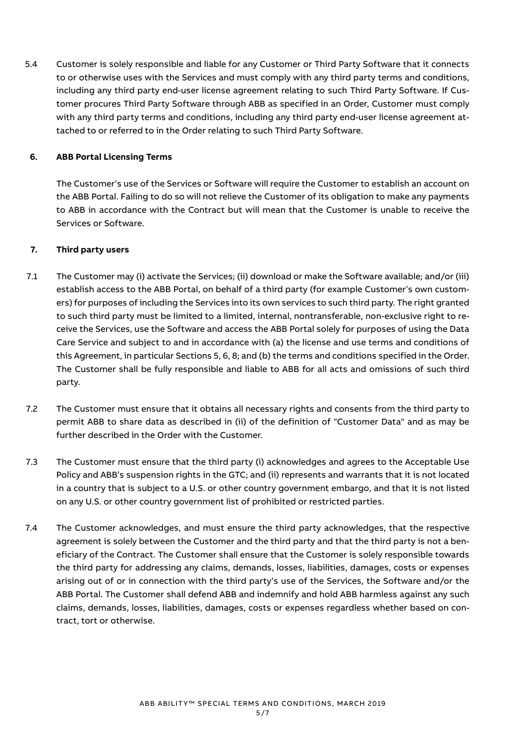5.4 Customer is solely responsible and liable for any Customer or Third Party Software that it connects to or otherwise uses with the Services and must comply with any third party terms and conditions, including any third party end-user license agreement relating to such Third Party Software. If Customer procures Third Party Software through ABB as specified in an Order, Customer must comply with any third party terms and conditions, including any third party end-user license agreement attached to or referred to in the Order relating to such Third Party Software.

# **6. ABB Portal Licensing Terms**

The Customer's use of the Services or Software will require the Customer to establish an account on the ABB Portal. Failing to do so will not relieve the Customer of its obligation to make any payments to ABB in accordance with the Contract but will mean that the Customer is unable to receive the Services or Software.

# **7. Third party users**

- 7.1 The Customer may (i) activate the Services; (ii) download or make the Software available; and/or (iii) establish access to the ABB Portal, on behalf of a third party (for example Customer's own customers) for purposes of including the Services into its own services to such third party. The right granted to such third party must be limited to a limited, internal, nontransferable, non-exclusive right to receive the Services, use the Software and access the ABB Portal solely for purposes of using the Data Care Service and subject to and in accordance with (a) the license and use terms and conditions of this Agreement, in particular Sections 5, 6, 8; and (b) the terms and conditions specified in the Order. The Customer shall be fully responsible and liable to ABB for all acts and omissions of such third party.
- 7.2 The Customer must ensure that it obtains all necessary rights and consents from the third party to permit ABB to share data as described in (ii) of the definition of "Customer Data" and as may be further described in the Order with the Customer.
- 7.3 The Customer must ensure that the third party (i) acknowledges and agrees to the Acceptable Use Policy and ABB's suspension rights in the GTC; and (ii) represents and warrants that it is not located in a country that is subject to a U.S. or other country government embargo, and that it is not listed on any U.S. or other country government list of prohibited or restricted parties.
- 7.4 The Customer acknowledges, and must ensure the third party acknowledges, that the respective agreement is solely between the Customer and the third party and that the third party is not a beneficiary of the Contract. The Customer shall ensure that the Customer is solely responsible towards the third party for addressing any claims, demands, losses, liabilities, damages, costs or expenses arising out of or in connection with the third party's use of the Services, the Software and/or the ABB Portal. The Customer shall defend ABB and indemnify and hold ABB harmless against any such claims, demands, losses, liabilities, damages, costs or expenses regardless whether based on contract, tort or otherwise.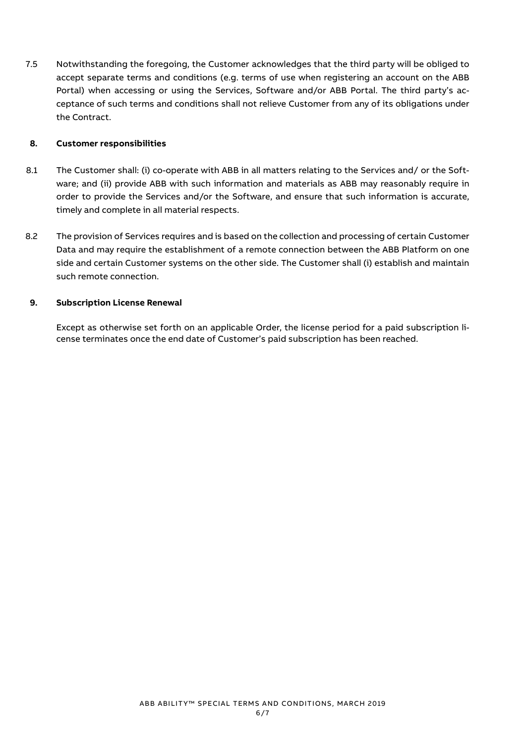7.5 Notwithstanding the foregoing, the Customer acknowledges that the third party will be obliged to accept separate terms and conditions (e.g. terms of use when registering an account on the ABB Portal) when accessing or using the Services, Software and/or ABB Portal. The third party's acceptance of such terms and conditions shall not relieve Customer from any of its obligations under the Contract.

## **8. Customer responsibilities**

- 8.1 The Customer shall: (i) co-operate with ABB in all matters relating to the Services and/ or the Software; and (ii) provide ABB with such information and materials as ABB may reasonably require in order to provide the Services and/or the Software, and ensure that such information is accurate, timely and complete in all material respects.
- 8.2 The provision of Services requires and is based on the collection and processing of certain Customer Data and may require the establishment of a remote connection between the ABB Platform on one side and certain Customer systems on the other side. The Customer shall (i) establish and maintain such remote connection.

## **9. Subscription License Renewal**

Except as otherwise set forth on an applicable Order, the license period for a paid subscription license terminates once the end date of Customer's paid subscription has been reached.